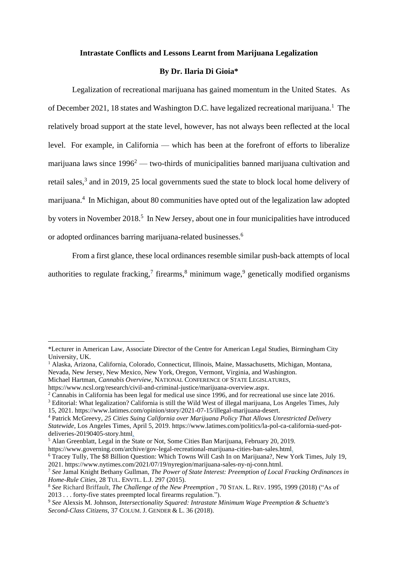#### **Intrastate Conflicts and Lessons Learnt from Marijuana Legalization**

### **By Dr. Ilaria Di Gioia\***

Legalization of recreational marijuana has gained momentum in the United States. As of December 2021, 18 states and Washington D.C. have legalized recreational marijuana.<sup>1</sup> The relatively broad support at the state level, however, has not always been reflected at the local level. For example, in California — which has been at the forefront of efforts to liberalize marijuana laws since  $1996<sup>2</sup>$  — two-thirds of municipalities banned marijuana cultivation and retail sales,<sup>3</sup> and in 2019, 25 local governments sued the state to block local home delivery of marijuana.<sup>4</sup> In Michigan, about 80 communities have opted out of the legalization law adopted by voters in November 2018.<sup>5</sup> In New Jersey, about one in four municipalities have introduced or adopted ordinances barring marijuana-related businesses.<sup>6</sup>

From a first glance, these local ordinances resemble similar push-back attempts of local authorities to regulate fracking,<sup>7</sup> firearms,<sup>8</sup> minimum wage,<sup>9</sup> genetically modified organisms

<sup>\*</sup>Lecturer in American Law, Associate Director of the Centre for American Legal Studies, Birmingham City University, UK.

<sup>&</sup>lt;sup>1</sup> Alaska, Arizona, California, Colorado, Connecticut, Illinois, Maine, Massachusetts, Michigan, Montana, Nevada, New Jersey, New Mexico, New York, Oregon, Vermont, Virginia, and Washington.

Michael Hartman, *Cannabis Overview*, NATIONAL CONFERENCE OF STATE LEGISLATURES,

https://www.ncsl.org/research/civil-and-criminal-justice/marijuana-overview.aspx.

<sup>2</sup> Cannabis in California has been legal for medical use since 1996, and for recreational use since late 2016.

<sup>3</sup> Editorial: What legalization? California is still the Wild West of illegal marijuana, Los Angeles Times, July 15, 2021. https://www.latimes.com/opinion/story/2021-07-15/illegal-marijuana-desert.

<sup>4</sup> Patrick McGreevy, *25 Cities Suing California over Marijuana Policy That Allows Unrestricted Delivery Statewide*, Los Angeles Times, April 5, 2019. https://www.latimes.com/politics/la-pol-ca-california-sued-potdeliveries-20190405-story.html.

<sup>5</sup> Alan Greenblatt, Legal in the State or Not, Some Cities Ban Marijuana, February 20, 2019.

https://www.governing.com/archive/gov-legal-recreational-marijuana-cities-ban-sales.html.

<sup>6</sup> Tracey Tully, The \$8 Billion Question: Which Towns Will Cash In on Marijuana?, New York Times, July 19, 2021. https://www.nytimes.com/2021/07/19/nyregion/marijuana-sales-ny-nj-conn.html.

<sup>7</sup> *See* Jamal Knight Bethany Gullman, *The Power of State Interest: Preemption of Local Fracking Ordinances in Home-Rule Cities*, 28 TUL. ENVTL. L.J. 297 (2015).

<sup>8</sup> *See* Richard Briffault, *The Challenge of the New Preemption* , 70 STAN. L. REV. 1995, 1999 (2018) ("As of 2013 . . . forty-five states preempted local firearms regulation.").

<sup>9</sup> *See* Alexsis M. Johnson, *Intersectionality Squared: Intrastate Minimum Wage Preemption & Schuette's Second-Class Citizens*, 37 COLUM. J. GENDER & L. 36 (2018).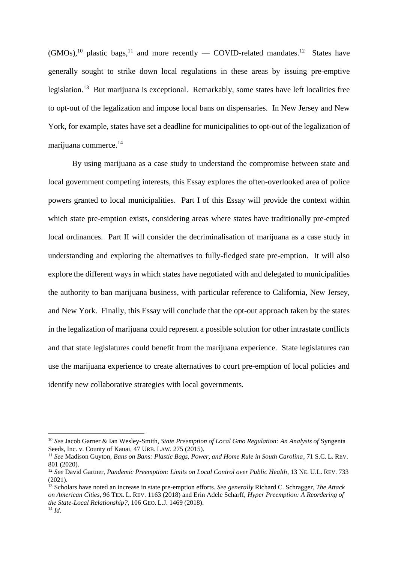$(GMOs)$ ,<sup>10</sup> plastic bags,<sup>11</sup> and more recently — COVID-related mandates.<sup>12</sup> States have generally sought to strike down local regulations in these areas by issuing pre-emptive legislation.<sup>13</sup> But marijuana is exceptional. Remarkably, some states have left localities free to opt-out of the legalization and impose local bans on dispensaries. In New Jersey and New York, for example, states have set a deadline for municipalities to opt-out of the legalization of marijuana commerce. 14

By using marijuana as a case study to understand the compromise between state and local government competing interests, this Essay explores the often-overlooked area of police powers granted to local municipalities. Part I of this Essay will provide the context within which state pre-emption exists, considering areas where states have traditionally pre-empted local ordinances. Part II will consider the decriminalisation of marijuana as a case study in understanding and exploring the alternatives to fully-fledged state pre-emption. It will also explore the different ways in which states have negotiated with and delegated to municipalities the authority to ban marijuana business, with particular reference to California, New Jersey, and New York. Finally, this Essay will conclude that the opt-out approach taken by the states in the legalization of marijuana could represent a possible solution for other intrastate conflicts and that state legislatures could benefit from the marijuana experience. State legislatures can use the marijuana experience to create alternatives to court pre-emption of local policies and identify new collaborative strategies with local governments.

<sup>10</sup> *See* Jacob Garner & Ian Wesley-Smith, *State Preemption of Local Gmo Regulation: An Analysis of* Syngenta Seeds, Inc. v. County of Kauai, 47 URB. LAW. 275 (2015).

<sup>11</sup> *See* Madison Guyton, *Bans on Bans: Plastic Bags, Power, and Home Rule in South Carolina*, 71 S.C. L. REV. 801 (2020).

<sup>12</sup> *See* David Gartner, *Pandemic Preemption: Limits on Local Control over Public Health*, 13 NE. U.L. REV. 733  $(2021)$ .

<sup>13</sup> Scholars have noted an increase in state pre-emption efforts. *See generally* Richard C. Schragger, *The Attack on American Cities*, 96 TEX. L. REV. 1163 (2018) and Erin Adele Scharff, *Hyper Preemption: A Reordering of the State-Local Relationship?*, 106 GEO. L.J. 1469 (2018). <sup>14</sup> *Id.*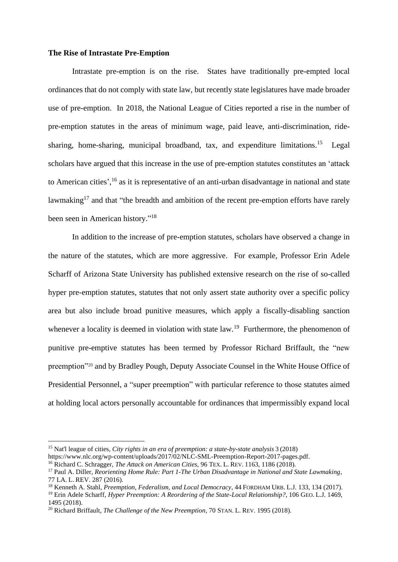#### **The Rise of Intrastate Pre-Emption**

Intrastate pre-emption is on the rise. States have traditionally pre-empted local ordinances that do not comply with state law, but recently state legislatures have made broader use of pre-emption. In 2018, the National League of Cities reported a rise in the number of pre-emption statutes in the areas of minimum wage, paid leave, anti-discrimination, ridesharing, home-sharing, municipal broadband, tax, and expenditure limitations.<sup>15</sup> Legal scholars have argued that this increase in the use of pre-emption statutes constitutes an 'attack to American cities', <sup>16</sup> as it is representative of an anti-urban disadvantage in national and state lawmaking<sup>17</sup> and that "the breadth and ambition of the recent pre-emption efforts have rarely been seen in American history."<sup>18</sup>

In addition to the increase of pre-emption statutes, scholars have observed a change in the nature of the statutes, which are more aggressive. For example, Professor Erin Adele Scharff of Arizona State University has published extensive research on the rise of so-called hyper pre-emption statutes, statutes that not only assert state authority over a specific policy area but also include broad punitive measures, which apply a fiscally-disabling sanction whenever a locality is deemed in violation with state law.<sup>19</sup> Furthermore, the phenomenon of punitive pre-emptive statutes has been termed by Professor Richard Briffault, the "new preemption"<sup>20</sup> and by Bradley Pough, Deputy Associate Counsel in the White House Office of Presidential Personnel, a "super preemption" with particular reference to those statutes aimed at holding local actors personally accountable for ordinances that impermissibly expand local

<sup>15</sup> Nat'l league of cities, *City rights in an era of preemption: a state-by-state analysis* 3 (2018)

https://www.nlc.org/wp-content/uploads/2017/02/NLC-SML-Preemption-Report-2017-pages.pdf.

<sup>16</sup> Richard C. Schragger, *The Attack on American Cities,* 96 TEX. L. REV. 1163, 1186 (2018).

<sup>17</sup> Paul A. Diller, *Reorienting Home Rule: Part 1-The Urban Disadvantage in National and State Lawmaking*, 77 LA. L. REV. 287 (2016).

<sup>18</sup> Kenneth A. Stahl, *Preemption, Federalism, and Local Democracy*, 44 FORDHAM URB. L.J. 133, 134 (2017).

<sup>19</sup> Erin Adele Scharff, *Hyper Preemption: A Reordering of the State-Local Relationship?*, 106 GEO. L.J. 1469, 1495 (2018).

<sup>20</sup> Richard Briffault, *The Challenge of the New Preemption*, 70 STAN. L. REV. 1995 (2018).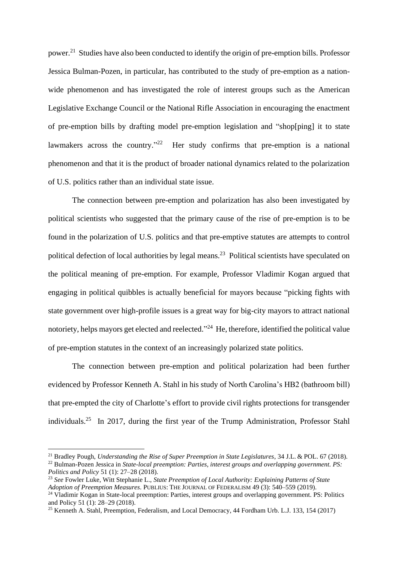power.<sup>21</sup> Studies have also been conducted to identify the origin of pre-emption bills. Professor Jessica Bulman-Pozen, in particular, has contributed to the study of pre-emption as a nationwide phenomenon and has investigated the role of interest groups such as the American Legislative Exchange Council or the National Rifle Association in encouraging the enactment of pre-emption bills by drafting model pre-emption legislation and "shop[ping] it to state lawmakers across the country."<sup>22</sup> Her study confirms that pre-emption is a national phenomenon and that it is the product of broader national dynamics related to the polarization of U.S. politics rather than an individual state issue.

The connection between pre-emption and polarization has also been investigated by political scientists who suggested that the primary cause of the rise of pre-emption is to be found in the polarization of U.S. politics and that pre-emptive statutes are attempts to control political defection of local authorities by legal means.<sup>23</sup> Political scientists have speculated on the political meaning of pre-emption. For example, Professor Vladimir Kogan argued that engaging in political quibbles is actually beneficial for mayors because "picking fights with state government over high-profile issues is a great way for big-city mayors to attract national notoriety, helps mayors get elected and reelected."<sup>24</sup> He, therefore, identified the political value of pre-emption statutes in the context of an increasingly polarized state politics.

The connection between pre-emption and political polarization had been further evidenced by Professor Kenneth A. Stahl in his study of North Carolina's HB2 (bathroom bill) that pre-empted the city of Charlotte's effort to provide civil rights protections for transgender individuals.<sup>25</sup> In 2017, during the first year of the Trump Administration, Professor Stahl

<sup>21</sup> Bradley Pough, *Understanding the Rise of Super Preemption in State Legislatures*, 34 J.L. & POL. 67 (2018).

<sup>22</sup> Bulman-Pozen Jessica in *State-local preemption: Parties, interest groups and overlapping government. PS: Politics and Policy* 51 (1): 27–28 (2018).

<sup>23</sup> *See* Fowler Luke, Witt Stephanie L., *State Preemption of Local Authority: Explaining Patterns of State Adoption of Preemption Measures*. PUBLIUS: THE JOURNAL OF FEDERALISM 49 (3): 540–559 (2019). <sup>24</sup> Vladimir Kogan in State-local preemption: Parties, interest groups and overlapping government. PS: Politics and Policy 51 (1): 28–29 (2018).

<sup>25</sup> Kenneth A. Stahl, Preemption, Federalism, and Local Democracy, 44 Fordham Urb. L.J. 133, 154 (2017)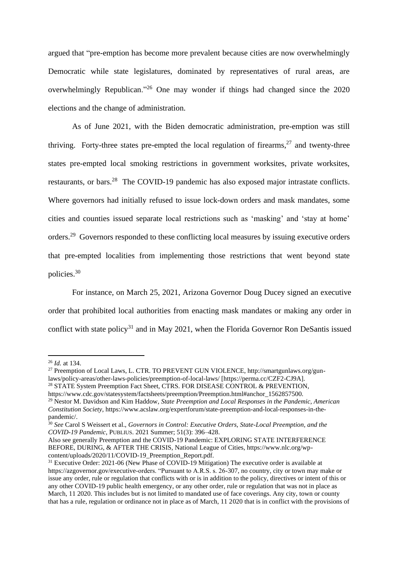argued that "pre-emption has become more prevalent because cities are now overwhelmingly Democratic while state legislatures, dominated by representatives of rural areas, are overwhelmingly Republican."<sup>26</sup> One may wonder if things had changed since the 2020 elections and the change of administration.

As of June 2021, with the Biden democratic administration, pre-emption was still thriving. Forty-three states pre-empted the local regulation of firearms, $27$  and twenty-three states pre-empted local smoking restrictions in government worksites, private worksites, restaurants, or bars.<sup>28</sup> The COVID-19 pandemic has also exposed major intrastate conflicts. Where governors had initially refused to issue lock-down orders and mask mandates, some cities and counties issued separate local restrictions such as 'masking' and 'stay at home' orders.<sup>29</sup> Governors responded to these conflicting local measures by issuing executive orders that pre-empted localities from implementing those restrictions that went beyond state policies.<sup>30</sup>

For instance, on March 25, 2021, Arizona Governor Doug Ducey signed an executive order that prohibited local authorities from enacting mask mandates or making any order in conflict with state policy<sup>31</sup> and in May 2021, when the Florida Governor Ron DeSantis issued

https://www.cdc.gov/statesystem/factsheets/preemption/Preemption.html#anchor\_1562857500. <sup>29</sup> Nestor M. Davidson and Kim Haddow, *State Preemption and Local Responses in the Pandemic, American Constitution Society*, https://www.acslaw.org/expertforum/state-preemption-and-local-responses-in-thepandemic/.

<sup>26</sup> *Id.* at 134.

<sup>27</sup> Preemption of Local Laws, L. CTR. TO PREVENT GUN VIOLENCE, http://smartgunlaws.org/gunlaws/policy-areas/other-laws-policies/preemption-of-local-laws/ [https://perma.cc/CZF2-CJ9A]. <sup>28</sup> STATE System Preemption Fact Sheet, CTRS. FOR DISEASE CONTROL & PREVENTION,

<sup>30</sup> *See* Carol S Weissert et al., *Governors in Control: Executive Orders, State-Local Preemption, and the COVID-19 Pandemic*, PUBLIUS. 2021 Summer; 51(3): 396–428.

Also see generally Preemption and the COVID-19 Pandemic: EXPLORING STATE INTERFERENCE BEFORE, DURING, & AFTER THE CRISIS, National League of Cities, https://www.nlc.org/wpcontent/uploads/2020/11/COVID-19\_Preemption\_Report.pdf.

<sup>&</sup>lt;sup>31</sup> Executive Order: 2021-06 (New Phase of COVID-19 Mitigation) The executive order is available at https://azgovernor.gov/executive-orders. "Pursuant to A.R.S. s. 26-307, no country, city or town may make or issue any order, rule or regulation that conflicts with or is in addition to the policy, directives or intent of this or any other COVID-19 public health emergency, or any other order, rule or regulation that was not in place as March, 11 2020. This includes but is not limited to mandated use of face coverings. Any city, town or county that has a rule, regulation or ordinance not in place as of March, 11 2020 that is in conflict with the provisions of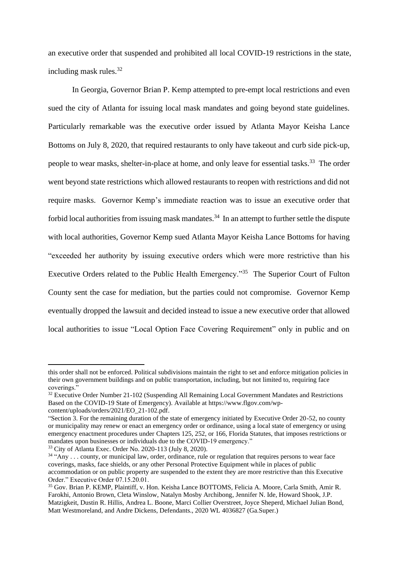an executive order that suspended and prohibited all local COVID-19 restrictions in the state, including mask rules.<sup>32</sup>

In Georgia, Governor Brian P. Kemp attempted to pre-empt local restrictions and even sued the city of Atlanta for issuing local mask mandates and going beyond state guidelines. Particularly remarkable was the executive order issued by Atlanta Mayor Keisha Lance Bottoms on July 8, 2020, that required restaurants to only have takeout and curb side pick-up, people to wear masks, shelter-in-place at home, and only leave for essential tasks.<sup>33</sup> The order went beyond state restrictions which allowed restaurants to reopen with restrictions and did not require masks. Governor Kemp's immediate reaction was to issue an executive order that forbid local authorities from issuing mask mandates.<sup>34</sup> In an attempt to further settle the dispute with local authorities, Governor Kemp sued Atlanta Mayor Keisha Lance Bottoms for having "exceeded her authority by issuing executive orders which were more restrictive than his Executive Orders related to the Public Health Emergency."<sup>35</sup> The Superior Court of Fulton County sent the case for mediation, but the parties could not compromise. Governor Kemp eventually dropped the lawsuit and decided instead to issue a new executive order that allowed local authorities to issue "Local Option Face Covering Requirement" only in public and on

this order shall not be enforced. Political subdivisions maintain the right to set and enforce mitigation policies in their own government buildings and on public transportation, including, but not limited to, requiring face coverings."

<sup>&</sup>lt;sup>32</sup> Executive Order Number 21-102 (Suspending All Remaining Local Government Mandates and Restrictions Based on the COVID-19 State of Emergency). Available at https://www.flgov.com/wpcontent/uploads/orders/2021/EO\_21-102.pdf.

<sup>&</sup>quot;Section 3. For the remaining duration of the state of emergency initiated by Executive Order 20-52, no county or municipality may renew or enact an emergency order or ordinance, using a local state of emergency or using emergency enactment procedures under Chapters 125, 252, or 166, Florida Statutes, that imposes restrictions or mandates upon businesses or individuals due to the COVID-19 emergency."

<sup>33</sup> City of Atlanta Exec. Order No. 2020-113 (July 8, 2020).

<sup>&</sup>lt;sup>34</sup> "Any ... county, or municipal law, order, ordinance, rule or regulation that requires persons to wear face coverings, masks, face shields, or any other Personal Protective Equipment while in places of public accommodation or on public property are suspended to the extent they are more restrictive than this Executive Order." Executive Order 07.15.20.01.

<sup>35</sup> Gov. Brian P. KEMP, Plaintiff, v. Hon. Keisha Lance BOTTOMS, Felicia A. Moore, Carla Smith, Amir R. Farokhi, Antonio Brown, Cleta Winslow, Natalyn Mosby Archibong, Jennifer N. Ide, Howard Shook, J.P. Matzigkeit, Dustin R. Hillis, Andrea L. Boone, Marci Collier Overstreet, Joyce Sheperd, Michael Julian Bond, Matt Westmoreland, and Andre Dickens, Defendants., 2020 WL 4036827 (Ga.Super.)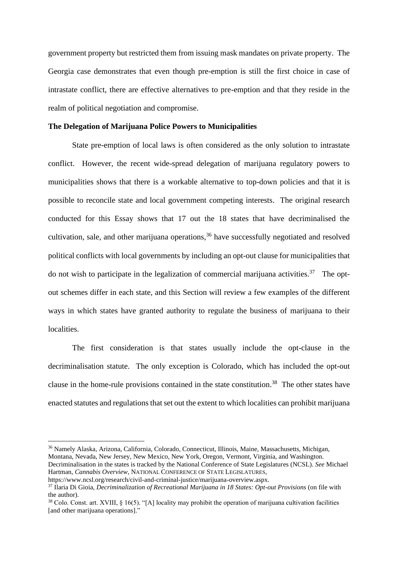government property but restricted them from issuing mask mandates on private property. The Georgia case demonstrates that even though pre-emption is still the first choice in case of intrastate conflict, there are effective alternatives to pre-emption and that they reside in the realm of political negotiation and compromise.

#### **The Delegation of Marijuana Police Powers to Municipalities**

State pre-emption of local laws is often considered as the only solution to intrastate conflict. However, the recent wide-spread delegation of marijuana regulatory powers to municipalities shows that there is a workable alternative to top-down policies and that it is possible to reconcile state and local government competing interests. The original research conducted for this Essay shows that 17 out the 18 states that have decriminalised the cultivation, sale, and other marijuana operations, <sup>36</sup> have successfully negotiated and resolved political conflicts with local governments by including an opt-out clause for municipalities that do not wish to participate in the legalization of commercial marijuana activities.<sup>37</sup> The optout schemes differ in each state, and this Section will review a few examples of the different ways in which states have granted authority to regulate the business of marijuana to their localities.

The first consideration is that states usually include the opt-clause in the decriminalisation statute. The only exception is Colorado, which has included the opt-out clause in the home-rule provisions contained in the state constitution. <sup>38</sup> The other states have enacted statutes and regulations that set out the extent to which localities can prohibit marijuana

<sup>36</sup> Namely Alaska, Arizona, California, Colorado, Connecticut, Illinois, Maine, Massachusetts, Michigan, Montana, Nevada, New Jersey, New Mexico, New York, Oregon, Vermont, Virginia, and Washington.

Decriminalisation in the states is tracked by the National Conference of State Legislatures (NCSL). *See* Michael Hartman, *Cannabis Overview*, NATIONAL CONFERENCE OF STATE LEGISLATURES,

https://www.ncsl.org/research/civil-and-criminal-justice/marijuana-overview.aspx.

<sup>37</sup> Ilaria Di Gioia, *Decriminalization of Recreational Marijuana in 18 States: Opt-out Provisions* (on file with the author).

<sup>&</sup>lt;sup>38</sup> Colo. Const. art. XVIII, § 16(5). "[A] locality may prohibit the operation of marijuana cultivation facilities [and other marijuana operations]."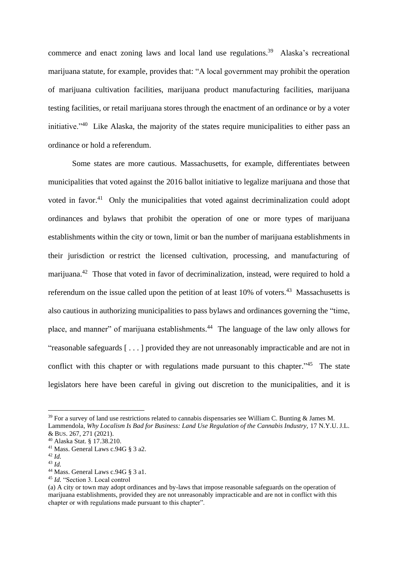commerce and enact zoning laws and local land use regulations.<sup>39</sup> Alaska's recreational marijuana statute, for example, provides that: "A local government may prohibit the operation of marijuana cultivation facilities, marijuana product manufacturing facilities, marijuana testing facilities, or retail marijuana stores through the enactment of an ordinance or by a voter initiative."<sup>40</sup> Like Alaska, the majority of the states require municipalities to either pass an ordinance or hold a referendum.

Some states are more cautious. Massachusetts, for example, differentiates between municipalities that voted against the 2016 ballot initiative to legalize marijuana and those that voted in favor.<sup>41</sup> Only the municipalities that voted against decriminalization could adopt ordinances and bylaws that prohibit the operation of one or more types of marijuana establishments within the city or town, limit or ban the number of marijuana establishments in their jurisdiction or restrict the licensed cultivation, processing, and manufacturing of marijuana.<sup>42</sup> Those that voted in favor of decriminalization, instead, were required to hold a referendum on the issue called upon the petition of at least  $10\%$  of voters.<sup>43</sup> Massachusetts is also cautious in authorizing municipalities to pass bylaws and ordinances governing the "time, place, and manner" of marijuana establishments.<sup>44</sup> The language of the law only allows for "reasonable safeguards [ . . . ] provided they are not unreasonably impracticable and are not in conflict with this chapter or with regulations made pursuant to this chapter."<sup>45</sup> The state legislators here have been careful in giving out discretion to the municipalities, and it is

<sup>&</sup>lt;sup>39</sup> For a survey of land use restrictions related to cannabis dispensaries see William C. Bunting & James M. Lammendola, Why Localism Is Bad for Business: Land Use Regulation of the Cannabis Industry, 17 N.Y.U. J.L.

<sup>&</sup>amp; BUS. 267, 271 (2021). <sup>40</sup> Alaska Stat. § 17.38.210.

<sup>41</sup> Mass. General Laws c.94G § 3 a2.

<sup>42</sup> *Id.*

<sup>43</sup> *Id.*

<sup>44</sup> Mass. General Laws c.94G § 3 a1.

<sup>45</sup> *Id.* "Section 3. Local control

<sup>(</sup>a) A city or town may adopt ordinances and by-laws that impose reasonable safeguards on the operation of marijuana establishments, provided they are not unreasonably impracticable and are not in conflict with this chapter or with regulations made pursuant to this chapter".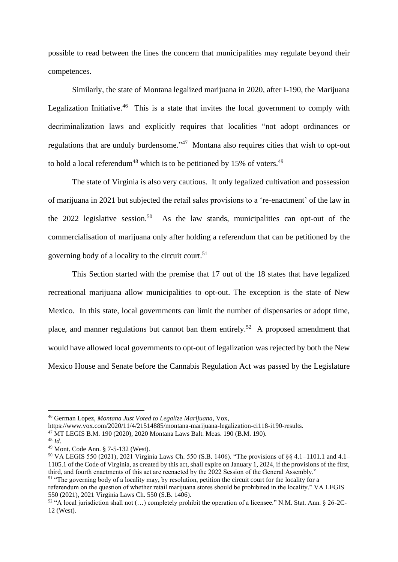possible to read between the lines the concern that municipalities may regulate beyond their competences.

Similarly, the state of Montana legalized marijuana in 2020, after I-190, the Marijuana Legalization Initiative.<sup>46</sup> This is a state that invites the local government to comply with decriminalization laws and explicitly requires that localities "not adopt ordinances or regulations that are unduly burdensome."<sup>47</sup> Montana also requires cities that wish to opt-out to hold a local referendum<sup>48</sup> which is to be petitioned by 15% of voters.<sup>49</sup>

The state of Virginia is also very cautious. It only legalized cultivation and possession of marijuana in 2021 but subjected the retail sales provisions to a 're-enactment' of the law in the 2022 legislative session.<sup>50</sup> As the law stands, municipalities can opt-out of the commercialisation of marijuana only after holding a referendum that can be petitioned by the governing body of a locality to the circuit court. 51

This Section started with the premise that 17 out of the 18 states that have legalized recreational marijuana allow municipalities to opt-out. The exception is the state of New Mexico. In this state, local governments can limit the number of dispensaries or adopt time, place, and manner regulations but cannot ban them entirely.<sup>52</sup> A proposed amendment that would have allowed local governments to opt-out of legalization was rejected by both the New Mexico House and Senate before the Cannabis Regulation Act was passed by the Legislature

https://www.vox.com/2020/11/4/21514885/montana-marijuana-legalization-ci118-i190-results.

<sup>46</sup> German Lopez, *Montana Just Voted to Legalize Marijuana*, Vox,

<sup>47</sup> MT LEGIS B.M. 190 (2020), 2020 Montana Laws Balt. Meas. 190 (B.M. 190).

<sup>48</sup> *Id.* 

<sup>49</sup> Mont. Code Ann. § 7-5-132 (West).

<sup>50</sup> VA LEGIS 550 (2021), 2021 Virginia Laws Ch. 550 (S.B. 1406). "The provisions of §§ 4.1–1101.1 and 4.1– 1105.1 of the Code of Virginia, as created by this act, shall expire on January 1, 2024, if the provisions of the first, third, and fourth enactments of this act are reenacted by the 2022 Session of the General Assembly." <sup>51</sup> "The governing body of a locality may, by resolution, petition the circuit court for the locality for a

referendum on the question of whether retail marijuana stores should be prohibited in the locality." VA LEGIS 550 (2021), 2021 Virginia Laws Ch. 550 (S.B. 1406).

<sup>52</sup> "A local jurisdiction shall not (…) completely prohibit the operation of a licensee." N.M. Stat. Ann. § 26-2C-12 (West).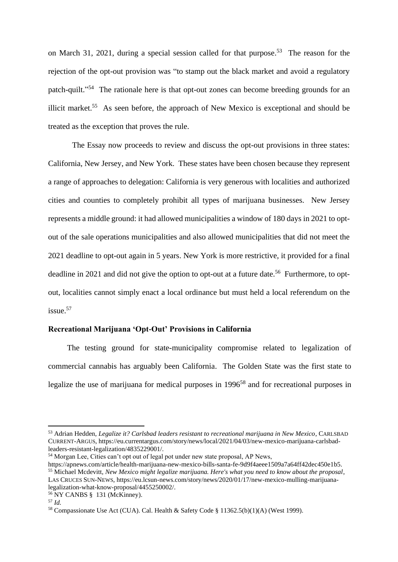on March 31, 2021, during a special session called for that purpose. <sup>53</sup> The reason for the rejection of the opt-out provision was "to stamp out the black market and avoid a regulatory patch-quilt."<sup>54</sup> The rationale here is that opt-out zones can become breeding grounds for an illicit market.<sup>55</sup> As seen before, the approach of New Mexico is exceptional and should be treated as the exception that proves the rule.

The Essay now proceeds to review and discuss the opt-out provisions in three states: California, New Jersey, and New York. These states have been chosen because they represent a range of approaches to delegation: California is very generous with localities and authorized cities and counties to completely prohibit all types of marijuana businesses. New Jersey represents a middle ground: it had allowed municipalities a window of 180 days in 2021 to optout of the sale operations municipalities and also allowed municipalities that did not meet the 2021 deadline to opt-out again in 5 years. New York is more restrictive, it provided for a final deadline in 2021 and did not give the option to opt-out at a future date.<sup>56</sup> Furthermore, to optout, localities cannot simply enact a local ordinance but must held a local referendum on the issue.<sup>57</sup>

# **Recreational Marijuana 'Opt-Out' Provisions in California**

The testing ground for state-municipality compromise related to legalization of commercial cannabis has arguably been California. The Golden State was the first state to legalize the use of marijuana for medical purposes in 1996<sup>58</sup> and for recreational purposes in

<sup>53</sup> Adrian Hedden, *Legalize it? Carlsbad leaders resistant to recreational marijuana in New Mexico*, CARLSBAD CURRENT-ARGUS, https://eu.currentargus.com/story/news/local/2021/04/03/new-mexico-marijuana-carlsbadleaders-resistant-legalization/4835229001/.

<sup>&</sup>lt;sup>54</sup> Morgan Lee, Cities can't opt out of legal pot under new state proposal, AP News,

https://apnews.com/article/health-marijuana-new-mexico-bills-santa-fe-9d9f4aeee1509a7a64ff42dec450e1b5. <sup>55</sup> Michael Mcdevitt, *New Mexico might legalize marijuana. Here's what you need to know about the proposal*, LAS CRUCES SUN-NEWS, https://eu.lcsun-news.com/story/news/2020/01/17/new-mexico-mulling-marijuanalegalization-what-know-proposal/4455250002/.

<sup>56</sup> NY CANBS § 131 (McKinney).

<sup>57</sup> *Id.*

<sup>58</sup> Compassionate Use Act (CUA). Cal. Health & Safety Code § 11362.5(b)(1)(A) (West 1999).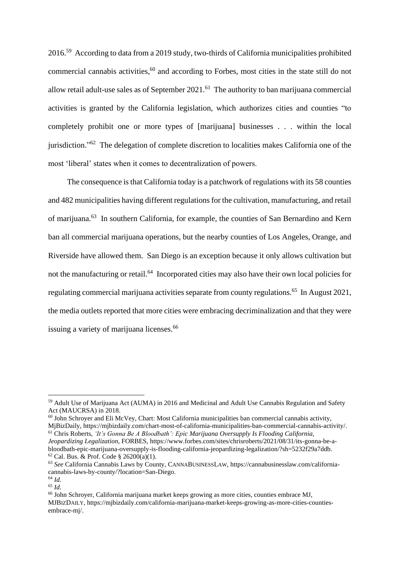2016.<sup>59</sup> According to data from a 2019 study, two-thirds of California municipalities prohibited commercial cannabis activities,<sup>60</sup> and according to Forbes, most cities in the state still do not allow retail adult-use sales as of September  $2021$ .<sup>61</sup> The authority to ban marijuana commercial activities is granted by the California legislation, which authorizes cities and counties "to completely prohibit one or more types of [marijuana] businesses . . . within the local jurisdiction."<sup>62</sup> The delegation of complete discretion to localities makes California one of the most 'liberal' states when it comes to decentralization of powers.

The consequence is that California today is a patchwork of regulations with its 58 counties and 482 municipalities having different regulations for the cultivation, manufacturing, and retail of marijuana.<sup>63</sup> In southern California, for example, the counties of San Bernardino and Kern ban all commercial marijuana operations, but the nearby counties of Los Angeles, Orange, and Riverside have allowed them. San Diego is an exception because it only allows cultivation but not the manufacturing or retail.<sup>64</sup> Incorporated cities may also have their own local policies for regulating commercial marijuana activities separate from county regulations.<sup>65</sup> In August 2021, the media outlets reported that more cities were embracing decriminalization and that they were issuing a variety of marijuana licenses.<sup>66</sup>

<sup>59</sup> Adult Use of Marijuana Act (AUMA) in 2016 and Medicinal and Adult Use Cannabis Regulation and Safety Act (MAUCRSA) in 2018.

 $60$  John Schroyer and Eli McVey, Chart: Most California municipalities ban commercial cannabis activity, MjBizDaily, https://mjbizdaily.com/chart-most-of-california-municipalities-ban-commercial-cannabis-activity/. <sup>61</sup> Chris Roberts, *'It's Gonna Be A Bloodbath': Epic Marijuana Oversupply Is Flooding California,* 

*Jeopardizing Legalization*, FORBES, https://www.forbes.com/sites/chrisroberts/2021/08/31/its-gonna-be-abloodbath-epic-marijuana-oversupply-is-flooding-california-jeopardizing-legalization/?sh=5232f29a7ddb.  $62$  Cal. Bus. & Prof. Code § 26200(a)(1).

<sup>63</sup> *See* California Cannabis Laws by County, CANNABUSINESSLAW, https://cannabusinesslaw.com/californiacannabis-laws-by-county/?location=San-Diego.

<sup>64</sup> *Id.*

<sup>65</sup> *Id.*

<sup>66</sup> John Schroyer, California marijuana market keeps growing as more cities, counties embrace MJ, MJBIZDAILY, https://mjbizdaily.com/california-marijuana-market-keeps-growing-as-more-cities-countiesembrace-mj/.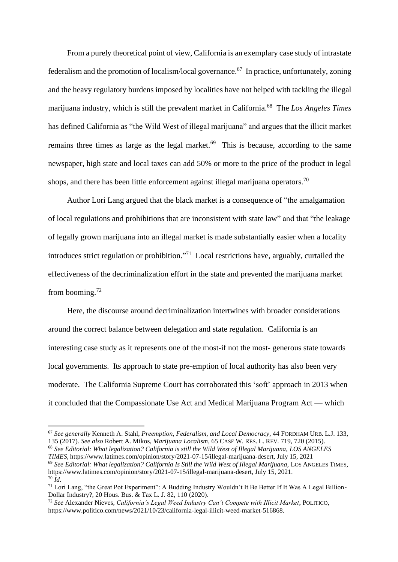From a purely theoretical point of view, California is an exemplary case study of intrastate federalism and the promotion of localism/local governance. <sup>67</sup> In practice, unfortunately, zoning and the heavy regulatory burdens imposed by localities have not helped with tackling the illegal marijuana industry, which is still the prevalent market in California. <sup>68</sup> The *Los Angeles Times* has defined California as "the Wild West of illegal marijuana" and argues that the illicit market remains three times as large as the legal market. $69$  This is because, according to the same newspaper, high state and local taxes can add 50% or more to the price of the product in legal shops, and there has been little enforcement against illegal marijuana operators.<sup>70</sup>

Author Lori Lang argued that the black market is a consequence of "the amalgamation of local regulations and prohibitions that are inconsistent with state law" and that "the leakage of legally grown marijuana into an illegal market is made substantially easier when a locality introduces strict regulation or prohibition." <sup>71</sup> Local restrictions have, arguably, curtailed the effectiveness of the decriminalization effort in the state and prevented the marijuana market from booming.<sup>72</sup>

Here, the discourse around decriminalization intertwines with broader considerations around the correct balance between delegation and state regulation. California is an interesting case study as it represents one of the most-if not the most- generous state towards local governments. Its approach to state pre-emption of local authority has also been very moderate. The California Supreme Court has corroborated this 'soft' approach in 2013 when it concluded that the Compassionate Use Act and Medical Marijuana Program Act — which

*TIMES,* https://www.latimes.com/opinion/story/2021-07-15/illegal-marijuana-desert*,* July 15, 2021 <sup>69</sup> *See Editorial: What legalization? California Is Still the Wild West of Illegal Marijuana,* LOS ANGELES TIMES*,*

<sup>67</sup> *See generally* Kenneth A. Stahl, *Preemption, Federalism, and Local Democracy*, 44 FORDHAM URB. L.J. 133, 135 (2017)*. See also* Robert A. Mikos, *Marijuana Localism*, 65 CASE W. RES. L. REV. 719, 720 (2015). <sup>68</sup> *See Editorial: What legalization? California is still the Wild West of Illegal Marijuana, LOS ANGELES*

https://www.latimes.com/opinion/story/2021-07-15/illegal-marijuana-desert*,* July 15, 2021.  $70 \, \tilde{l}$ 

<sup>&</sup>lt;sup>71</sup> Lori Lang, "the Great Pot Experiment": A Budding Industry Wouldn't It Be Better If It Was A Legal Billion-Dollar Industry?, 20 Hous. Bus. & Tax L. J. 82, 110 (2020).

<sup>72</sup> *See* Alexander Nieves, *California's Legal Weed Industry Can't Compete with Illicit Market*, POLITICO, https://www.politico.com/news/2021/10/23/california-legal-illicit-weed-market-516868.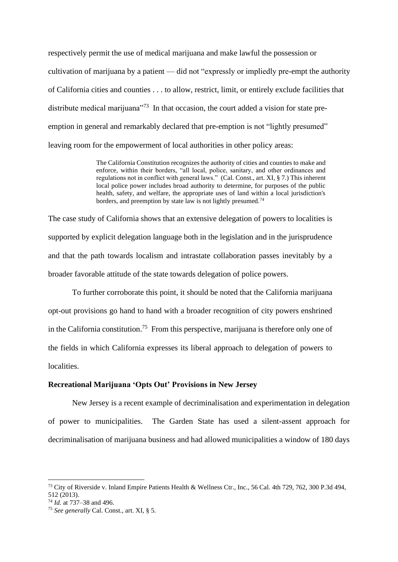respectively permit the use of medical marijuana and make lawful the possession or cultivation of marijuana by a patient — did not "expressly or impliedly pre-empt the authority of California cities and counties . . . to allow, restrict, limit, or entirely exclude facilities that distribute medical marijuana<sup> $173$ </sup> In that occasion, the court added a vision for state preemption in general and remarkably declared that pre-emption is not "lightly presumed" leaving room for the empowerment of local authorities in other policy areas:

> The California Constitution recognizes the authority of cities and counties to make and enforce, within their borders, "all local, police, sanitary, and other ordinances and regulations not in conflict with general laws." (Cal. Const., art. XI, § 7.) This inherent local police power includes broad authority to determine, for purposes of the public health, safety, and welfare, the appropriate uses of land within a local jurisdiction's borders, and preemption by state law is not lightly presumed.<sup>74</sup>

The case study of California shows that an extensive delegation of powers to localities is supported by explicit delegation language both in the legislation and in the jurisprudence and that the path towards localism and intrastate collaboration passes inevitably by a broader favorable attitude of the state towards delegation of police powers.

To further corroborate this point, it should be noted that the California marijuana opt-out provisions go hand to hand with a broader recognition of city powers enshrined in the California constitution.<sup>75</sup> From this perspective, marijuana is therefore only one of the fields in which California expresses its liberal approach to delegation of powers to localities.

## **Recreational Marijuana 'Opts Out' Provisions in New Jersey**

New Jersey is a recent example of decriminalisation and experimentation in delegation of power to municipalities. The Garden State has used a silent-assent approach for decriminalisation of marijuana business and had allowed municipalities a window of 180 days

<sup>73</sup> City of Riverside v. Inland Empire Patients Health & Wellness Ctr., Inc., 56 Cal. 4th 729, 762, 300 P.3d 494, 512 (2013).

<sup>74</sup> *Id.* at 737–38 and 496.

<sup>75</sup> *See generally* Cal. Const., art. XI, § 5.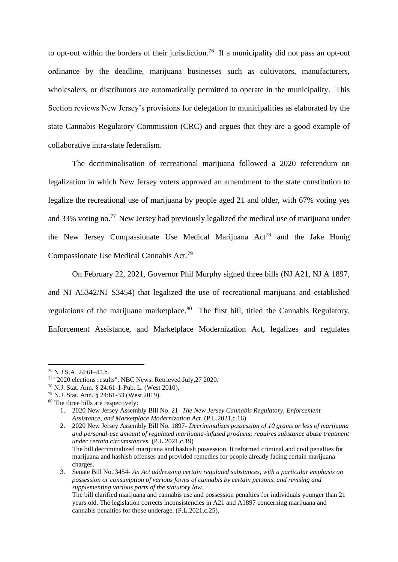to opt-out within the borders of their jurisdiction.<sup>76</sup> If a municipality did not pass an opt-out ordinance by the deadline, marijuana businesses such as cultivators, manufacturers, wholesalers, or distributors are automatically permitted to operate in the municipality. This Section reviews New Jersey's provisions for delegation to municipalities as elaborated by the state Cannabis Regulatory Commission (CRC) and argues that they are a good example of collaborative intra-state federalism.

The decriminalisation of recreational marijuana followed a 2020 referendum on legalization in which New Jersey voters approved an amendment to the state constitution to legalize the recreational use of marijuana by people aged 21 and older, with 67% voting yes and 33% voting no.<sup>77</sup> New Jersey had previously legalized the medical use of marijuana under the New Jersey Compassionate Use Medical Marijuana  $Act^{78}$  and the Jake Honig Compassionate Use Medical Cannabis Act.<sup>79</sup>

On February 22, 2021, Governor Phil Murphy signed three bills (NJ A21, NJ A 1897, and NJ A5342/NJ S3454) that legalized the use of recreational marijuana and established regulations of the marijuana marketplace.<sup>80</sup> The first bill, titled the Cannabis Regulatory, Enforcement Assistance, and Marketplace Modernization Act, legalizes and regulates

charges.

<sup>76</sup> N.J.S.A. 24:6I–45.b.

<sup>77</sup> "2020 elections results". NBC News. Retrieved July,27 2020.

<sup>78</sup> N.J. Stat. Ann. § 24:61-1-Pub. L. (West 2010).

<sup>79</sup> N.J. Stat. Ann. § 24:61-33 (West 2019).

<sup>80</sup> The three bills are respectively:

<sup>1.</sup> 2020 New Jersey Assembly Bill No. 21- *The New Jersey Cannabis Regulatory, Enforcement Assistance, and Marketplace Modernization Act.* (P.L.2021,c.16)

<sup>2.</sup> 2020 New Jersey Assembly Bill No. 1897- *Decriminalizes possession of 10 grams or less of marijuana and personal-use amount of regulated marijuana-infused products; requires substance abuse treatment under certain circumstances.* (P.L.2021,c.19) The bill decriminalized marijuana and hashish possession. It reformed criminal and civil penalties for marijuana and hashish offenses and provided remedies for people already facing certain marijuana

<sup>3.</sup> Senate Bill No. 3454- *An Act addressing certain regulated substances, with a particular emphasis on possession or consumption of various forms of cannabis by certain persons, and revising and supplementing various parts of the statutory law.*

The bill clarified marijuana and cannabis use and possession penalties for individuals younger than 21 years old. The legislation corrects inconsistencies in A21 and A1897 concerning marijuana and cannabis penalties for those underage. (P.L.2021,c.25).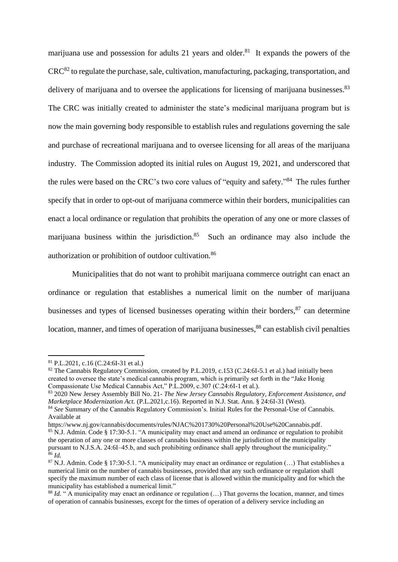marijuana use and possession for adults 21 years and older.<sup>81</sup> It expands the powers of the  $CRC^{82}$  to regulate the purchase, sale, cultivation, manufacturing, packaging, transportation, and delivery of marijuana and to oversee the applications for licensing of marijuana businesses.<sup>83</sup> The CRC was initially created to administer the state's medicinal marijuana program but is now the main governing body responsible to establish rules and regulations governing the sale and purchase of recreational marijuana and to oversee licensing for all areas of the marijuana industry. The Commission adopted its initial rules on August 19, 2021, and underscored that the rules were based on the CRC's two core values of "equity and safety."<sup>84</sup> The rules further specify that in order to opt-out of marijuana commerce within their borders, municipalities can enact a local ordinance or regulation that prohibits the operation of any one or more classes of marijuana business within the jurisdiction.<sup>85</sup> Such an ordinance may also include the authorization or prohibition of outdoor cultivation.<sup>86</sup>

Municipalities that do not want to prohibit marijuana commerce outright can enact an ordinance or regulation that establishes a numerical limit on the number of marijuana businesses and types of licensed businesses operating within their borders, <sup>87</sup> can determine location, manner, and times of operation of marijuana businesses,<sup>88</sup> can establish civil penalties

<sup>81</sup> P.L.2021, c.16 (C.24:6I-31 et al.)

<sup>&</sup>lt;sup>82</sup> The Cannabis Regulatory Commission, created by P.L.2019, c.153 (C.24:6I-5.1 et al.) had initially been created to oversee the state's medical cannabis program, which is primarily set forth in the "Jake Honig Compassionate Use Medical Cannabis Act," P.L.2009, c.307 (C.24:6I-1 et al.).

<sup>83</sup> 2020 New Jersey Assembly Bill No. 21- *The New Jersey Cannabis Regulatory, Enforcement Assistance, and Marketplace Modernization Act.* (P.L.2021,c.16). Reported in N.J. Stat. Ann. § 24:6I-31 (West).

<sup>84</sup> *See* Summary of the Cannabis Regulatory Commission's. Initial Rules for the Personal-Use of Cannabis. Available at

https://www.nj.gov/cannabis/documents/rules/NJAC%201730%20Personal%20Use%20Cannabis.pdf. <sup>85</sup> N.J. Admin. Code § 17:30-5.1. "A municipality may enact and amend an ordinance or regulation to prohibit the operation of any one or more classes of cannabis business within the jurisdiction of the municipality pursuant to N.J.S.A. 24:6I–45.b, and such prohibiting ordinance shall apply throughout the municipality."  $^{86}$  *Id.* 

 $87$  N.J. Admin. Code § 17:30-5.1. "A municipality may enact an ordinance or regulation  $(...)$  That establishes a numerical limit on the number of cannabis businesses, provided that any such ordinance or regulation shall specify the maximum number of each class of license that is allowed within the municipality and for which the municipality has established a numerical limit."

<sup>&</sup>lt;sup>88</sup> *Id.* " A municipality may enact an ordinance or regulation (...) That governs the location, manner, and times of operation of cannabis businesses, except for the times of operation of a delivery service including an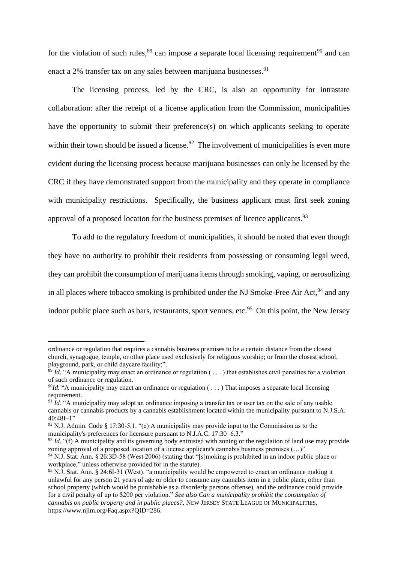for the violation of such rules,  $89$  can impose a separate local licensing requirement  $90$  and can enact a  $2\%$  transfer tax on any sales between marijuana businesses.<sup>91</sup>

The licensing process, led by the CRC, is also an opportunity for intrastate collaboration: after the receipt of a license application from the Commission, municipalities have the opportunity to submit their preference(s) on which applicants seeking to operate within their town should be issued a license.<sup>92</sup> The involvement of municipalities is even more evident during the licensing process because marijuana businesses can only be licensed by the CRC if they have demonstrated support from the municipality and they operate in compliance with municipality restrictions. Specifically, the business applicant must first seek zoning approval of a proposed location for the business premises of licence applicants.  $93$ 

To add to the regulatory freedom of municipalities, it should be noted that even though they have no authority to prohibit their residents from possessing or consuming legal weed, they can prohibit the consumption of marijuana items through smoking, vaping, or aerosolizing in all places where tobacco smoking is prohibited under the NJ Smoke-Free Air Act,  $94$  and any indoor public place such as bars, restaurants, sport venues, etc.<sup>95</sup> On this point, the New Jersey

ordinance or regulation that requires a cannabis business premises to be a certain distance from the closest church, synagogue, temple, or other place used exclusively for religious worship; or from the closest school, playground, park, or child daycare facility;".

<sup>89</sup> *Id.* "A municipality may enact an ordinance or regulation ( . . . ) that establishes civil penalties for a violation of such ordinance or regulation.

<sup>&</sup>lt;sup>90</sup>*Id.* "A municipality may enact an ordinance or regulation (...) That imposes a separate local licensing requirement.

<sup>91</sup> *Id*. "A municipality may adopt an ordinance imposing a transfer tax or user tax on the sale of any usable cannabis or cannabis products by a cannabis establishment located within the municipality pursuant to N.J.S.A.  $40:48I-1"$ 

 $92$  N.J. Admin. Code § 17:30-5.1. "(e) A municipality may provide input to the Commission as to the municipality's preferences for licensure pursuant to N.J.A.C. 17:30–6.3."

<sup>&</sup>lt;sup>93</sup> *Id.* "(f) A municipality and its governing body entrusted with zoning or the regulation of land use may provide zoning approval of a proposed location of a license applicant's cannabis business premises (...)"

<sup>&</sup>lt;sup>94</sup> N.J. Stat. Ann. § 26:3D-58 (West 2006) (stating that "[s]moking is prohibited in an indoor public place or workplace," unless otherwise provided for in the statute).

<sup>95</sup> N.J. Stat. Ann. § 24:6I-31 (West). "a municipality would be empowered to enact an ordinance making it unlawful for any person 21 years of age or older to consume any cannabis item in a public place, other than school property (which would be punishable as a disorderly persons offense), and the ordinance could provide for a civil penalty of up to \$200 per violation." *See also Can a municipality prohibit the consumption of cannabis on public property and in public places?,* NEW JERSEY STATE LEAGUE OF MUNICIPALITIES, https://www.njlm.org/Faq.aspx?QID=286.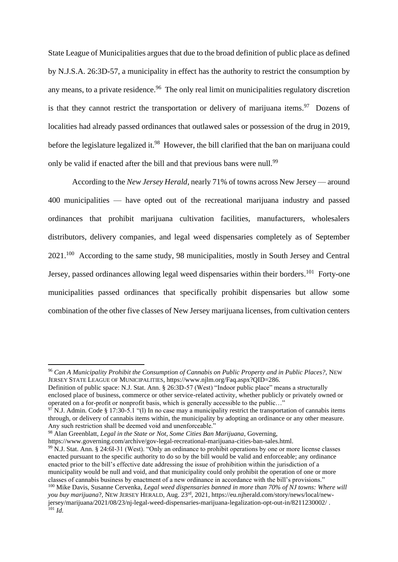State League of Municipalities argues that due to the broad definition of public place as defined by N.J.S.A. 26:3D-57, a municipality in effect has the authority to restrict the consumption by any means, to a private residence.<sup>96</sup> The only real limit on municipalities regulatory discretion is that they cannot restrict the transportation or delivery of marijuana items.<sup>97</sup> Dozens of localities had already passed ordinances that outlawed sales or possession of the drug in 2019, before the legislature legalized it.<sup>98</sup> However, the bill clarified that the ban on marijuana could only be valid if enacted after the bill and that previous bans were null.<sup>99</sup>

According to the *New Jersey Herald*, nearly 71% of towns across New Jersey — around 400 municipalities — have opted out of the recreational marijuana industry and passed ordinances that prohibit marijuana cultivation facilities, manufacturers, wholesalers distributors, delivery companies, and legal weed dispensaries completely as of September 2021.<sup>100</sup> According to the same study, 98 municipalities, mostly in South Jersey and Central Jersey, passed ordinances allowing legal weed dispensaries within their borders.<sup>101</sup> Forty-one municipalities passed ordinances that specifically prohibit dispensaries but allow some combination of the other five classes of New Jersey marijuana licenses, from cultivation centers

<sup>98</sup> Alan Greenblatt, *Legal in the State or Not, Some Cities Ban Marijuana*, Governing,

<sup>96</sup> *Can A Municipality Prohibit the Consumption of Cannabis on Public Property and in Public Places?,* NEW JERSEY STATE LEAGUE OF MUNICIPALITIES, https://www.njlm.org/Faq.aspx?QID=286.

Definition of public space: N.J. Stat. Ann. § 26:3D-57 (West) "Indoor public place" means a structurally enclosed place of business, commerce or other service-related activity, whether publicly or privately owned or operated on a for-profit or nonprofit basis, which is generally accessible to the public…"

 $97$  N.J. Admin. Code § 17:30-5.1 "(1) In no case may a municipality restrict the transportation of cannabis items through, or delivery of cannabis items within, the municipality by adopting an ordinance or any other measure. Any such restriction shall be deemed void and unenforceable."

https://www.governing.com/archive/gov-legal-recreational-marijuana-cities-ban-sales.html. <sup>99</sup> N.J. Stat. Ann. § 24:6I-31 (West). "Only an ordinance to prohibit operations by one or more license classes enacted pursuant to the specific authority to do so by the bill would be valid and enforceable; any ordinance enacted prior to the bill's effective date addressing the issue of prohibition within the jurisdiction of a municipality would be null and void, and that municipality could only prohibit the operation of one or more classes of cannabis business by enactment of a new ordinance in accordance with the bill's provisions." <sup>100</sup> Mike Davis, Susanne Cervenka, *Legal weed dispensaries banned in more than 70% of NJ towns: Where will* 

*you buy marijuana*?, NEW JERSEY HERALD, Aug. 23rd, 2021, https://eu.njherald.com/story/news/local/newjersey/marijuana/2021/08/23/nj-legal-weed-dispensaries-marijuana-legalization-opt-out-in/8211230002/ .  $101 \dot{Id}$ .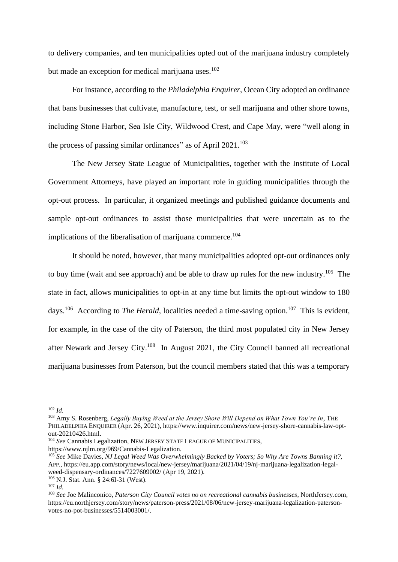to delivery companies, and ten municipalities opted out of the marijuana industry completely but made an exception for medical marijuana uses. $102$ 

For instance, according to the *Philadelphia Enquirer*, Ocean City adopted an ordinance that bans businesses that cultivate, manufacture, test, or sell marijuana and other shore towns, including Stone Harbor, Sea Isle City, Wildwood Crest, and Cape May, were "well along in the process of passing similar ordinances" as of April 2021.<sup>103</sup>

The New Jersey State League of Municipalities, together with the Institute of Local Government Attorneys, have played an important role in guiding municipalities through the opt-out process. In particular, it organized meetings and published guidance documents and sample opt-out ordinances to assist those municipalities that were uncertain as to the implications of the liberalisation of marijuana commerce.<sup>104</sup>

It should be noted, however, that many municipalities adopted opt-out ordinances only to buy time (wait and see approach) and be able to draw up rules for the new industry.<sup>105</sup> The state in fact, allows municipalities to opt-in at any time but limits the opt-out window to 180 days.<sup>106</sup> According to *The Herald*, localities needed a time-saving option.<sup>107</sup> This is evident, for example, in the case of the city of Paterson, the third most populated city in New Jersey after Newark and Jersey City.<sup>108</sup> In August 2021, the City Council banned all recreational marijuana businesses from Paterson, but the council members stated that this was a temporary

<sup>102</sup> *Id.*

<sup>103</sup> Amy S. Rosenberg, *Legally Buying Weed at the Jersey Shore Will Depend on What Town You're In*, THE PHILADELPHIA ENQUIRER (Apr. 26, 2021), https://www.inquirer.com/news/new-jersey-shore-cannabis-law-optout-20210426.html.

<sup>104</sup> *See* Cannabis Legalization, NEW JERSEY STATE LEAGUE OF MUNICIPALITIES, https://www.njlm.org/969/Cannabis-Legalization.

<sup>105</sup> *See* Mike Davies, *NJ Legal Weed Was Overwhelmingly Backed by Voters; So Why Are Towns Banning it?,*  APP., https://eu.app.com/story/news/local/new-jersey/marijuana/2021/04/19/nj-marijuana-legalization-legalweed-dispensary-ordinances/7227609002/ (Apr 19, 2021).

<sup>106</sup> N.J. Stat. Ann. § 24:6I-31 (West).

<sup>107</sup> *Id.*

<sup>108</sup> *See* Joe Malinconico, *Paterson City Council votes no on recreational cannabis businesses*, NorthJersey.com, https://eu.northjersey.com/story/news/paterson-press/2021/08/06/new-jersey-marijuana-legalization-patersonvotes-no-pot-businesses/5514003001/.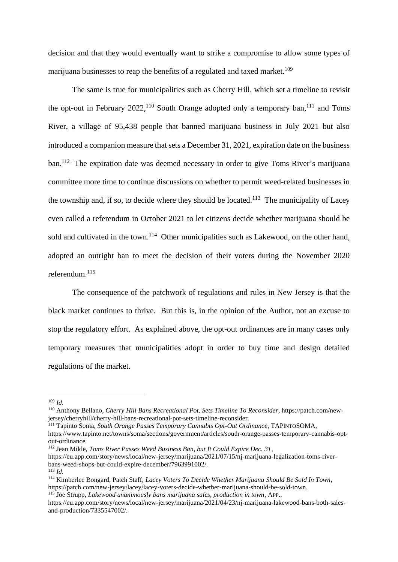decision and that they would eventually want to strike a compromise to allow some types of marijuana businesses to reap the benefits of a regulated and taxed market.<sup>109</sup>

The same is true for municipalities such as Cherry Hill, which set a timeline to revisit the opt-out in February  $2022$ ,<sup>110</sup> South Orange adopted only a temporary ban,<sup>111</sup> and Toms River, a village of 95,438 people that banned marijuana business in July 2021 but also introduced a companion measure that sets a December 31, 2021, expiration date on the business ban.<sup>112</sup> The expiration date was deemed necessary in order to give Toms River's marijuana committee more time to continue discussions on whether to permit weed-related businesses in the township and, if so, to decide where they should be located.<sup>113</sup> The municipality of Lacey even called a referendum in October 2021 to let citizens decide whether marijuana should be sold and cultivated in the town.<sup>114</sup> Other municipalities such as Lakewood, on the other hand, adopted an outright ban to meet the decision of their voters during the November 2020 referendum.<sup>115</sup>

The consequence of the patchwork of regulations and rules in New Jersey is that the black market continues to thrive. But this is, in the opinion of the Author, not an excuse to stop the regulatory effort. As explained above, the opt-out ordinances are in many cases only temporary measures that municipalities adopt in order to buy time and design detailed regulations of the market.

 $109$  *Id.* 

<sup>110</sup> Anthony Bellano, *Cherry Hill Bans Recreational Pot, Sets Timeline To Reconsider*, https://patch.com/newjersey/cherryhill/cherry-hill-bans-recreational-pot-sets-timeline-reconsider.

<sup>111</sup> Tapinto Soma, *South Orange Passes Temporary Cannabis Opt-Out Ordinance*, TAPINTOSOMA, https://www.tapinto.net/towns/soma/sections/government/articles/south-orange-passes-temporary-cannabis-opt-

out-ordinance.

<sup>112</sup> Jean Mikle, *Toms River Passes Weed Business Ban, but It Could Expire Dec. 31*,

https://eu.app.com/story/news/local/new-jersey/marijuana/2021/07/15/nj-marijuana-legalization-toms-riverbans-weed-shops-but-could-expire-december/7963991002/.

<sup>113</sup> *Id.*

<sup>114</sup> Kimberlee Bongard, Patch Staff, *Lacey Voters To Decide Whether Marijuana Should Be Sold In Town*, https://patch.com/new-jersey/lacey/lacey-voters-decide-whether-marijuana-should-be-sold-town. <sup>115</sup> Joe Strupp, *Lakewood unanimously bans marijuana sales, production in town*, APP.,

https://eu.app.com/story/news/local/new-jersey/marijuana/2021/04/23/nj-marijuana-lakewood-bans-both-salesand-production/7335547002/.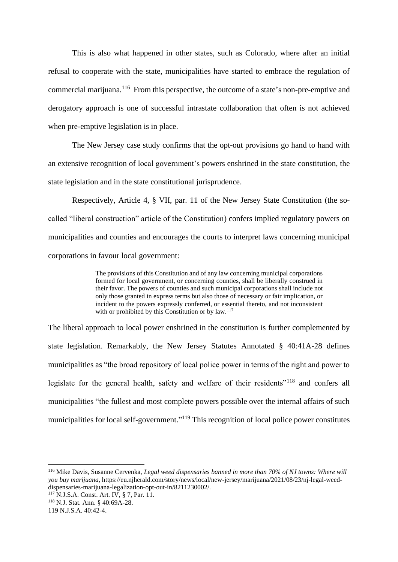This is also what happened in other states, such as Colorado, where after an initial refusal to cooperate with the state, municipalities have started to embrace the regulation of commercial marijuana.<sup>116</sup> From this perspective, the outcome of a state's non-pre-emptive and derogatory approach is one of successful intrastate collaboration that often is not achieved when pre-emptive legislation is in place.

The New Jersey case study confirms that the opt-out provisions go hand to hand with an extensive recognition of local government's powers enshrined in the state constitution, the state legislation and in the state constitutional jurisprudence.

Respectively, Article 4, § VII, par. 11 of the New Jersey State Constitution (the socalled "liberal construction" article of the Constitution) confers implied regulatory powers on municipalities and counties and encourages the courts to interpret laws concerning municipal corporations in favour local government:

> The provisions of this Constitution and of any law concerning municipal corporations formed for local government, or concerning counties, shall be liberally construed in their favor. The powers of counties and such municipal corporations shall include not only those granted in express terms but also those of necessary or fair implication, or incident to the powers expressly conferred, or essential thereto, and not inconsistent with or prohibited by this Constitution or by law.<sup>117</sup>

The liberal approach to local power enshrined in the constitution is further complemented by state legislation. Remarkably, the New Jersey Statutes Annotated § 40:41A-28 defines municipalities as "the broad repository of local police power in terms of the right and power to legislate for the general health, safety and welfare of their residents"<sup>118</sup> and confers all municipalities "the fullest and most complete powers possible over the internal affairs of such municipalities for local self-government."<sup>119</sup> This recognition of local police power constitutes

<sup>116</sup> Mike Davis, Susanne Cervenka, *Legal weed dispensaries banned in more than 70% of NJ towns: Where will you buy marijuana,* https://eu.njherald.com/story/news/local/new-jersey/marijuana/2021/08/23/nj-legal-weeddispensaries-marijuana-legalization-opt-out-in/8211230002/*.* 

<sup>117</sup> N.J.S.A. Const. Art. IV, § 7, Par. 11.

<sup>118</sup> N.J. Stat. Ann. § 40:69A-28.

<sup>119</sup> N.J.S.A. 40:42-4.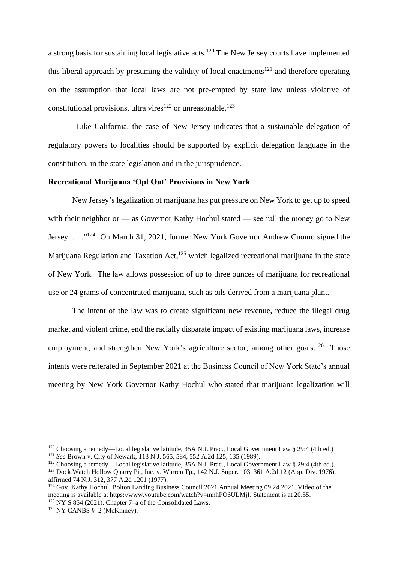a strong basis for sustaining local legislative acts.<sup>120</sup> The New Jersey courts have implemented this liberal approach by presuming the validity of local enactments<sup>121</sup> and therefore operating on the assumption that local laws are not pre-empted by state law unless violative of constitutional provisions, ultra vires<sup>122</sup> or unreasonable.<sup>123</sup>

Like California, the case of New Jersey indicates that a sustainable delegation of regulatory powers to localities should be supported by explicit delegation language in the constitution, in the state legislation and in the jurisprudence.

## **Recreational Marijuana 'Opt Out' Provisions in New York**

New Jersey's legalization of marijuana has put pressure on New York to get up to speed with their neighbor or — as Governor Kathy Hochul stated — see "all the money go to New Jersey. . . . "<sup>124</sup> On March 31, 2021, former New York Governor Andrew Cuomo signed the Marijuana Regulation and Taxation Act,<sup>125</sup> which legalized recreational marijuana in the state of New York. The law allows possession of up to three ounces of marijuana for recreational use or 24 grams of concentrated marijuana, such as oils derived from a marijuana plant.

The intent of the law was to create significant new revenue, reduce the illegal drug market and violent crime, end the racially disparate impact of existing marijuana laws, increase employment, and strengthen New York's agriculture sector, among other goals.<sup>126</sup> Those intents were reiterated in September 2021 at the Business Council of New York State's annual meeting by New York Governor Kathy Hochul who stated that marijuana legalization will

<sup>120</sup> Choosing a remedy—Local legislative latitude, 35A N.J. Prac., Local Government Law § 29:4 (4th ed.)

<sup>121</sup> *See* Brown v. City of Newark, 113 N.J. 565, 584, 552 A.2d 125, 135 (1989).

<sup>&</sup>lt;sup>122</sup> Choosing a remedy—Local legislative latitude, 35A N.J. Prac., Local Government Law § 29:4 (4th ed.).

<sup>&</sup>lt;sup>123</sup> Dock Watch Hollow Quarry Pit, Inc. v. Warren Tp., 142 N.J. Super. 103, 361 A.2d 12 (App. Div. 1976), affirmed 74 N.J. 312, 377 A.2d 1201 (1977).

<sup>&</sup>lt;sup>124</sup> Gov. Kathy Hochul, Bolton Landing Business Council 2021 Annual Meeting 09 24 2021. Video of the meeting is available at https://www.youtube.com/watch?v=mnhPO6ULMjI. Statement is at 20.55.

 $125$  NY S 854 (2021). Chapter 7–a of the Consolidated Laws.

 $126$  NY CANBS § 2 (McKinney).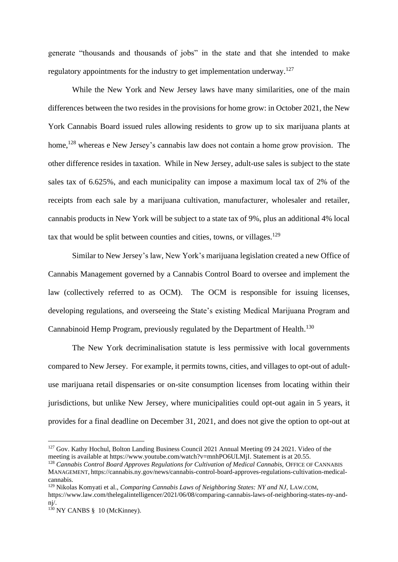generate "thousands and thousands of jobs" in the state and that she intended to make regulatory appointments for the industry to get implementation underway.<sup>127</sup>

While the New York and New Jersey laws have many similarities, one of the main differences between the two resides in the provisions for home grow: in October 2021, the New York Cannabis Board issued rules allowing residents to grow up to six marijuana plants at home,<sup>128</sup> whereas e New Jersey's cannabis law does not contain a home grow provision. The other difference resides in taxation. While in New Jersey, adult-use sales is subject to the state sales tax of 6.625%, and each municipality can impose a maximum local tax of 2% of the receipts from each sale by a marijuana cultivation, manufacturer, wholesaler and retailer, cannabis products in New York will be subject to a state tax of 9%, plus an additional 4% local tax that would be split between counties and cities, towns, or villages.<sup>129</sup>

Similar to New Jersey's law, New York's marijuana legislation created a new Office of Cannabis Management governed by a Cannabis Control Board to oversee and implement the law (collectively referred to as OCM). The OCM is responsible for issuing licenses, developing regulations, and overseeing the State's existing Medical Marijuana Program and Cannabinoid Hemp Program, previously regulated by the Department of Health.<sup>130</sup>

The New York decriminalisation statute is less permissive with local governments compared to New Jersey. For example, it permits towns, cities, and villages to opt-out of adultuse marijuana retail dispensaries or on-site consumption licenses from locating within their jurisdictions, but unlike New Jersey, where municipalities could opt-out again in 5 years, it provides for a final deadline on December 31, 2021, and does not give the option to opt-out at

<sup>&</sup>lt;sup>127</sup> Gov. Kathy Hochul, Bolton Landing Business Council 2021 Annual Meeting 09 24 2021. Video of the meeting is available at https://www.youtube.com/watch?v=mnhPO6ULMjI. Statement is at 20.55.

<sup>128</sup> *Cannabis Control Board Approves Regulations for Cultivation of Medical Cannabis,* OFFICE OF CANNABIS MANAGEMENT, https://cannabis.ny.gov/news/cannabis-control-board-approves-regulations-cultivation-medicalcannabis.

<sup>&</sup>lt;sup>129</sup> Nikolas Komyati et al., *Comparing Cannabis Laws of Neighboring States: NY and NJ*, LAW.COM,

https://www.law.com/thelegalintelligencer/2021/06/08/comparing-cannabis-laws-of-neighboring-states-ny-andnj/.

 $130$  NY CANBS § 10 (McKinney).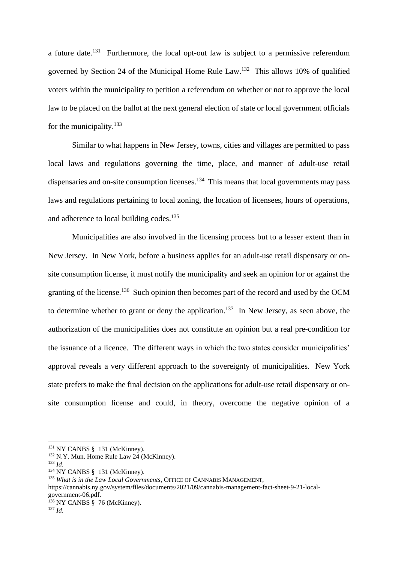a future date.<sup>131</sup> Furthermore, the local opt-out law is subject to a permissive referendum governed by Section 24 of the Municipal Home Rule Law.<sup>132</sup> This allows 10% of qualified voters within the municipality to petition a referendum on whether or not to approve the local law to be placed on the ballot at the next general election of state or local government officials for the municipality. $133$ 

Similar to what happens in New Jersey, towns, cities and villages are permitted to pass local laws and regulations governing the time, place, and manner of adult-use retail dispensaries and on-site consumption licenses.<sup>134</sup> This means that local governments may pass laws and regulations pertaining to local zoning, the location of licensees, hours of operations, and adherence to local building codes.<sup>135</sup>

Municipalities are also involved in the licensing process but to a lesser extent than in New Jersey. In New York, before a business applies for an adult-use retail dispensary or onsite consumption license, it must notify the municipality and seek an opinion for or against the granting of the license.<sup>136</sup> Such opinion then becomes part of the record and used by the OCM to determine whether to grant or deny the application.<sup>137</sup> In New Jersey, as seen above, the authorization of the municipalities does not constitute an opinion but a real pre-condition for the issuance of a licence. The different ways in which the two states consider municipalities' approval reveals a very different approach to the sovereignty of municipalities. New York state prefers to make the final decision on the applications for adult-use retail dispensary or onsite consumption license and could, in theory, overcome the negative opinion of a

<sup>&</sup>lt;sup>131</sup> NY CANBS § 131 (McKinney).

<sup>&</sup>lt;sup>132</sup> N.Y. Mun. Home Rule Law 24 (McKinney).

<sup>133</sup> *Id.*

<sup>134</sup> NY CANBS § 131 (McKinney).

<sup>&</sup>lt;sup>135</sup> *What is in the Law Local Governments*, OFFICE OF CANNABIS MANAGEMENT,

https://cannabis.ny.gov/system/files/documents/2021/09/cannabis-management-fact-sheet-9-21-localgovernment-06.pdf.

 $136$  NY CANBS § 76 (McKinney).

<sup>137</sup> *Id.*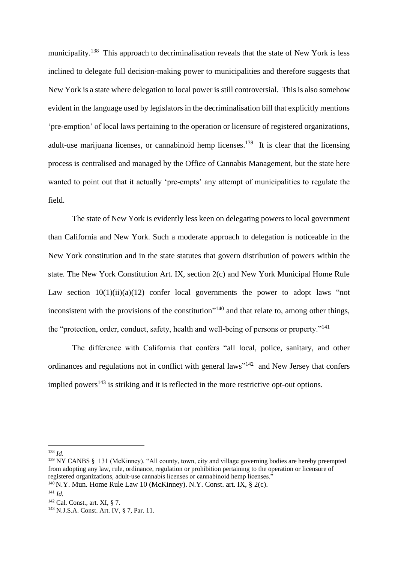municipality.<sup>138</sup> This approach to decriminalisation reveals that the state of New York is less inclined to delegate full decision-making power to municipalities and therefore suggests that New York is a state where delegation to local power is still controversial. This is also somehow evident in the language used by legislators in the decriminalisation bill that explicitly mentions 'pre-emption' of local laws pertaining to the operation or licensure of registered organizations, adult-use marijuana licenses, or cannabinoid hemp licenses.<sup>139</sup> It is clear that the licensing process is centralised and managed by the Office of Cannabis Management, but the state here wanted to point out that it actually 'pre-empts' any attempt of municipalities to regulate the field.

The state of New York is evidently less keen on delegating powers to local government than California and New York. Such a moderate approach to delegation is noticeable in the New York constitution and in the state statutes that govern distribution of powers within the state. The New York Constitution Art. IX, section 2(c) and New York Municipal Home Rule Law section  $10(1)(ii)(a)(12)$  confer local governments the power to adopt laws "not inconsistent with the provisions of the constitution"<sup>140</sup> and that relate to, among other things, the "protection, order, conduct, safety, health and well-being of persons or property."<sup>141</sup>

The difference with California that confers "all local, police, sanitary, and other ordinances and regulations not in conflict with general laws"<sup>142</sup> and New Jersey that confers implied powers<sup>143</sup> is striking and it is reflected in the more restrictive opt-out options.

<sup>138</sup> *Id.*

<sup>&</sup>lt;sup>139</sup> NY CANBS § 131 (McKinney). "All county, town, city and village governing bodies are hereby preempted from adopting any law, rule, ordinance, regulation or prohibition pertaining to the operation or licensure of registered organizations, adult-use cannabis licenses or cannabinoid hemp licenses."

<sup>&</sup>lt;sup>140</sup> N.Y. Mun. Home Rule Law 10 (McKinney). N.Y. Const. art. IX,  $\S$  2(c).

<sup>141</sup> *Id.*

<sup>142</sup> Cal. Const., art. XI, § 7.

<sup>143</sup> N.J.S.A. Const. Art. IV, § 7, Par. 11.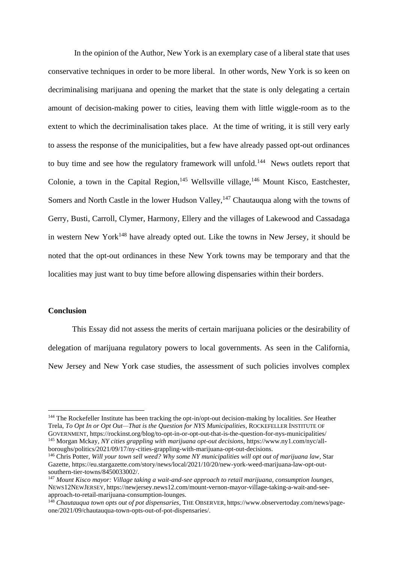In the opinion of the Author, New York is an exemplary case of a liberal state that uses conservative techniques in order to be more liberal. In other words, New York is so keen on decriminalising marijuana and opening the market that the state is only delegating a certain amount of decision-making power to cities, leaving them with little wiggle-room as to the extent to which the decriminalisation takes place. At the time of writing, it is still very early to assess the response of the municipalities, but a few have already passed opt-out ordinances to buy time and see how the regulatory framework will unfold.<sup>144</sup> News outlets report that Colonie, a town in the Capital Region,<sup>145</sup> Wellsville village,<sup>146</sup> Mount Kisco, Eastchester, Somers and North Castle in the lower Hudson Valley,<sup>147</sup> Chautauqua along with the towns of Gerry, Busti, Carroll, Clymer, Harmony, Ellery and the villages of Lakewood and Cassadaga in western New York<sup>148</sup> have already opted out. Like the towns in New Jersey, it should be noted that the opt-out ordinances in these New York towns may be temporary and that the localities may just want to buy time before allowing dispensaries within their borders.

## **Conclusion**

This Essay did not assess the merits of certain marijuana policies or the desirability of delegation of marijuana regulatory powers to local governments. As seen in the California, New Jersey and New York case studies, the assessment of such policies involves complex

<sup>144</sup> The Rockefeller Institute has been tracking the opt-in/opt-out decision-making by localities. *See* Heather Trela, *To Opt In or Opt Out—That is the Question for NYS Municipalities*, ROCKEFELLER INSTITUTE OF GOVERNMENT, https://rockinst.org/blog/to-opt-in-or-opt-out-that-is-the-question-for-nys-municipalities/ <sup>145</sup> Morgan Mckay, *NY cities grappling with marijuana opt-out decisions*, https://www.ny1.com/nyc/allboroughs/politics/2021/09/17/ny-cities-grappling-with-marijuana-opt-out-decisions.

<sup>146</sup> Chris Potter, *Will your town sell weed? Why some NY municipalities will opt out of marijuana law*, Star Gazette, https://eu.stargazette.com/story/news/local/2021/10/20/new-york-weed-marijuana-law-opt-outsouthern-tier-towns/8450033002/.

<sup>147</sup> *Mount Kisco mayor: Village taking a wait-and-see approach to retail marijuana, consumption lounges,*  NEWS12NEWJERSEY, https://newjersey.news12.com/mount-vernon-mayor-village-taking-a-wait-and-seeapproach-to-retail-marijuana-consumption-lounges.

<sup>148</sup> *Chautauqua town opts out of pot dispensaries*, THE OBSERVER, https://www.observertoday.com/news/pageone/2021/09/chautauqua-town-opts-out-of-pot-dispensaries/.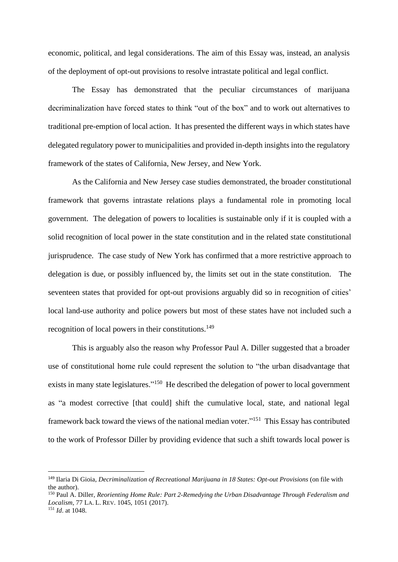economic, political, and legal considerations. The aim of this Essay was, instead, an analysis of the deployment of opt-out provisions to resolve intrastate political and legal conflict.

The Essay has demonstrated that the peculiar circumstances of marijuana decriminalization have forced states to think "out of the box" and to work out alternatives to traditional pre-emption of local action. It has presented the different ways in which states have delegated regulatory power to municipalities and provided in-depth insights into the regulatory framework of the states of California, New Jersey, and New York.

As the California and New Jersey case studies demonstrated, the broader constitutional framework that governs intrastate relations plays a fundamental role in promoting local government. The delegation of powers to localities is sustainable only if it is coupled with a solid recognition of local power in the state constitution and in the related state constitutional jurisprudence. The case study of New York has confirmed that a more restrictive approach to delegation is due, or possibly influenced by, the limits set out in the state constitution. The seventeen states that provided for opt-out provisions arguably did so in recognition of cities' local land-use authority and police powers but most of these states have not included such a recognition of local powers in their constitutions.<sup>149</sup>

This is arguably also the reason why Professor Paul A. Diller suggested that a broader use of constitutional home rule could represent the solution to "the urban disadvantage that exists in many state legislatures."<sup>150</sup> He described the delegation of power to local government as "a modest corrective [that could] shift the cumulative local, state, and national legal framework back toward the views of the national median voter."<sup>151</sup> This Essay has contributed to the work of Professor Diller by providing evidence that such a shift towards local power is

<sup>149</sup> Ilaria Di Gioia, *Decriminalization of Recreational Marijuana in 18 States: Opt-out Provisions* (on file with the author).

<sup>150</sup> Paul A. Diller, *Reorienting Home Rule: Part 2-Remedying the Urban Disadvantage Through Federalism and Localism*, 77 LA. L. REV. 1045, 1051 (2017). <sup>151</sup> *Id*. at 1048.